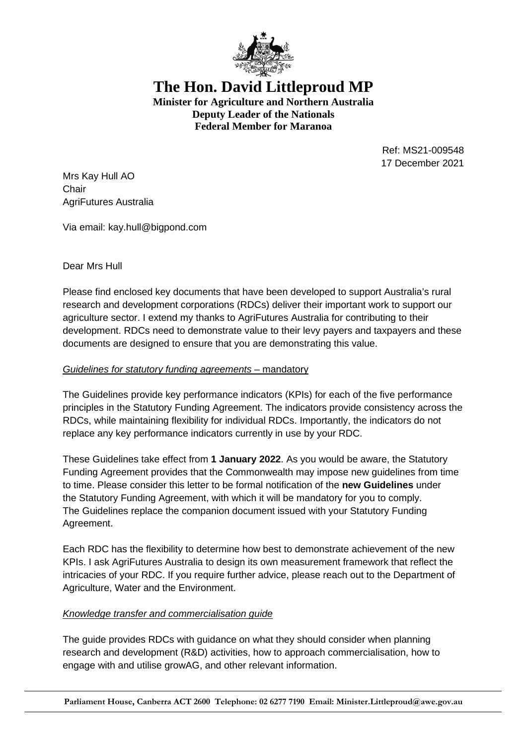

**The Hon. David Littleproud MP Minister for Agriculture and Northern Australia Deputy Leader of the Nationals Federal Member for Maranoa** 

> Ref: MS21-009548 17 December 2021

Mrs Kay Hull AO **Chair** AgriFutures Australia

Via email: kay.hull@bigpond.com

## Dear Mrs Hull

Please find enclosed key documents that have been developed to support Australia's rural research and development corporations (RDCs) deliver their important work to support our agriculture sector. I extend my thanks to AgriFutures Australia for contributing to their development. RDCs need to demonstrate value to their levy payers and taxpayers and these documents are designed to ensure that you are demonstrating this value.

## *Guidelines for statutory funding agreements* – mandatory

The Guidelines provide key performance indicators (KPIs) for each of the five performance principles in the Statutory Funding Agreement. The indicators provide consistency across the RDCs, while maintaining flexibility for individual RDCs. Importantly, the indicators do not replace any key performance indicators currently in use by your RDC.

These Guidelines take effect from **1 January 2022**. As you would be aware, the Statutory Funding Agreement provides that the Commonwealth may impose new guidelines from time to time. Please consider this letter to be formal notification of the **new Guidelines** under the Statutory Funding Agreement, with which it will be mandatory for you to comply. The Guidelines replace the companion document issued with your Statutory Funding Agreement.

Each RDC has the flexibility to determine how best to demonstrate achievement of the new KPIs. I ask AgriFutures Australia to design its own measurement framework that reflect the intricacies of your RDC. If you require further advice, please reach out to the Department of Agriculture, Water and the Environment.

## *Knowledge transfer and commercialisation guide*

The guide provides RDCs with guidance on what they should consider when planning research and development (R&D) activities, how to approach commercialisation, how to engage with and utilise growAG, and other relevant information.